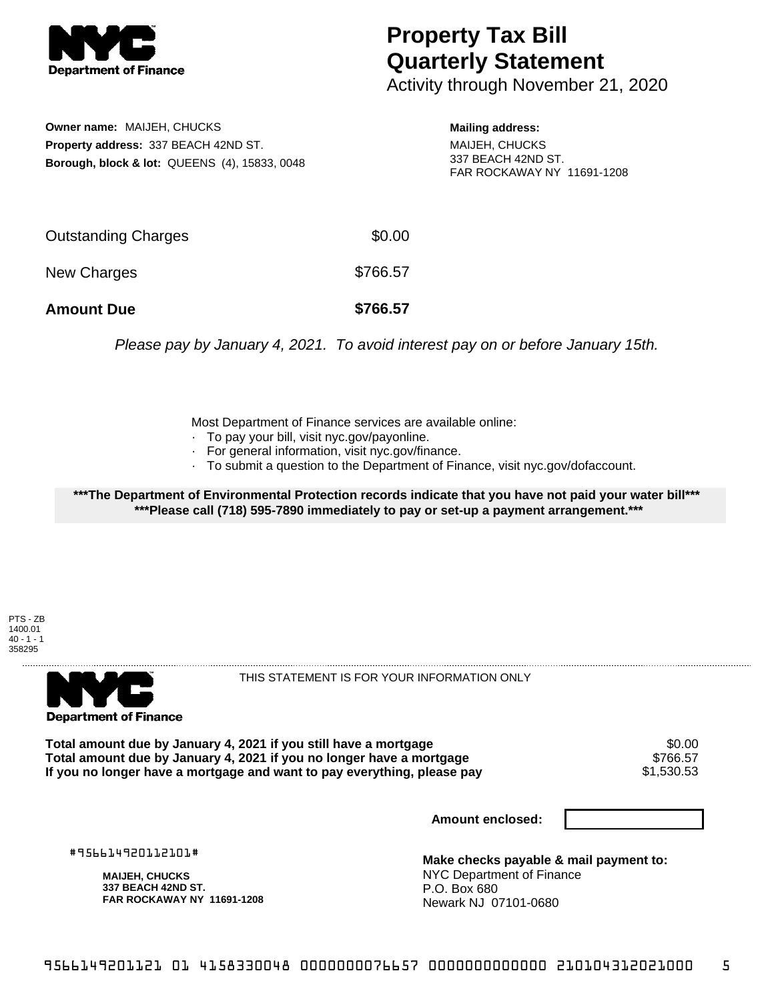

## **Property Tax Bill Quarterly Statement**

Activity through November 21, 2020

**Owner name:** MAIJEH, CHUCKS **Property address:** 337 BEACH 42ND ST. **Borough, block & lot:** QUEENS (4), 15833, 0048 **Mailing address:**

MAIJEH, CHUCKS 337 BEACH 42ND ST. FAR ROCKAWAY NY 11691-1208

| <b>Amount Due</b>   | \$766.57 |
|---------------------|----------|
| New Charges         | \$766.57 |
| Outstanding Charges | \$0.00   |

Please pay by January 4, 2021. To avoid interest pay on or before January 15th.

Most Department of Finance services are available online:

- · To pay your bill, visit nyc.gov/payonline.
- For general information, visit nyc.gov/finance.
- · To submit a question to the Department of Finance, visit nyc.gov/dofaccount.

**\*\*\*The Department of Environmental Protection records indicate that you have not paid your water bill\*\*\* \*\*\*Please call (718) 595-7890 immediately to pay or set-up a payment arrangement.\*\*\***

PTS - ZB 1400.01  $40 - 1 - 1$ 358295



THIS STATEMENT IS FOR YOUR INFORMATION ONLY

Total amount due by January 4, 2021 if you still have a mortgage \$0.00<br>Total amount due by January 4, 2021 if you no longer have a mortgage \$766.57 **Total amount due by January 4, 2021 if you no longer have a mortgage** \$766.57 If you no longer have a mortgage and want to pay everything, please pay

**Amount enclosed:**

#956614920112101#

**MAIJEH, CHUCKS 337 BEACH 42ND ST. FAR ROCKAWAY NY 11691-1208**

**Make checks payable & mail payment to:** NYC Department of Finance P.O. Box 680 Newark NJ 07101-0680